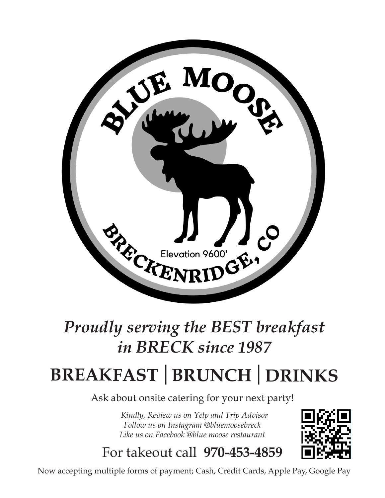

# *Proudly serving the BEST breakfast in BRECK since 1987*

# **BREAKFAST | BRUNCH | DRINKS**

Ask about onsite catering for your next party!

 *Kindly, Review us on Yelp and Trip Advisor Follow us on Instagram @bluemoosebreck Like us on Facebook @blue moose restaurant*



For takeout call **970-453-4859**

Now accepting multiple forms of payment; Cash, Credit Cards, Apple Pay, Google Pay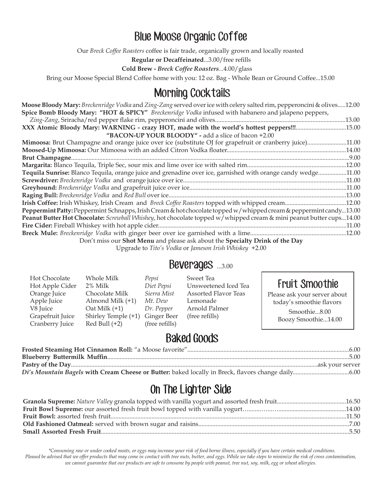### Blue Moose Organic Coffee

Our *Breck Coffee Roasters* coffee is fair trade, organically grown and locally roasted

**Regular or Decaffeinated**...3.00/free refills

**Cold Brew -** *Breck Coffee Roasters...*4.00/glass

Bring our Moose Special Blend Coffee home with you: 12 oz. Bag - Whole Bean or Ground Coffee...15.00

#### Morning Cocktails

| <b>Moose Bloody Mary:</b> Breckenridge Vodka and Zing-Zang served over ice with celery salted rim, pepperoncini & olives12.00 |  |
|-------------------------------------------------------------------------------------------------------------------------------|--|
| Spice Bomb Bloody Mary: "HOT & SPICY" Breckenridge Vodka infused with habanero and jalapeno peppers,                          |  |
|                                                                                                                               |  |
| XXX Atomic Bloody Mary: WARNING - crazy HOT, made with the world's hottest peppers!!!15.00                                    |  |
| "BACON-UP YOUR BLOODY" - add a slice of bacon +2.00                                                                           |  |
| Mimoosa: Brut Champagne and orange juice over ice (substitute OJ for grapefruit or cranberry juice)11.00                      |  |
|                                                                                                                               |  |
|                                                                                                                               |  |
|                                                                                                                               |  |
| Tequila Sunrise: Blanco Tequila, orange juice and grenadine over ice, garnished with orange candy wedge11.00                  |  |
|                                                                                                                               |  |
|                                                                                                                               |  |
|                                                                                                                               |  |
|                                                                                                                               |  |
| Peppermint Patty: Peppermint Schnapps, Irish Cream & hot chocolate topped w/whipped cream & peppermint candy13.00             |  |
| Peanut Butter Hot Chocolate: Screwball Whishey, hot chocolate topped w/whipped cream & mini peanut butter cups14.00           |  |
|                                                                                                                               |  |
|                                                                                                                               |  |
| Don't miss our Shot Menu and please ask about the Specialty Drink of the Day                                                  |  |

Upgrade to *Tito's Vodka* or *Jameson Irish Whiskey +*2.00

#### Beverages ...3.00

| Whole Milk<br>Pepsi         | Sweet Tea      |                                                                                                                                        |
|-----------------------------|----------------|----------------------------------------------------------------------------------------------------------------------------------------|
| 2% Milk                     |                | <b>Fruit Smoothie</b>                                                                                                                  |
| Chocolate Milk              |                | Please ask your server about                                                                                                           |
| Almond Milk (+1)<br>Mt. Dew | Lemonade       | today's smoothie flavors                                                                                                               |
| $\text{Out}$ Milk $(+1)$    | Arnold Palmer  | Smoothie8.00                                                                                                                           |
| Shirley Temple (+1)         | (free refills) | Boozy Smoothie14.00                                                                                                                    |
| Red Bull $(+2)$             |                |                                                                                                                                        |
|                             |                | Unsweetened Iced Tea<br>Diet Pepsi<br>Sierra Mist<br><b>Assorted Flavor Teas</b><br>Dr. Pepper<br><b>Ginger Beer</b><br>(free refills) |

#### Baked Goods

# On The Lighter Side

 *\*Consuming raw or under cooked meats, or eggs may increase your risk of food borne illness, especially if you have certain medical conditions. Pleased be advised that we offer products that may come in contact with tree nuts, butter, and eggs. While we take steps to minimize the risk of cross contamination, we cannot guarantee that our products are safe to consume by people with peanut, tree nut, soy, milk, egg or wheat allergies.*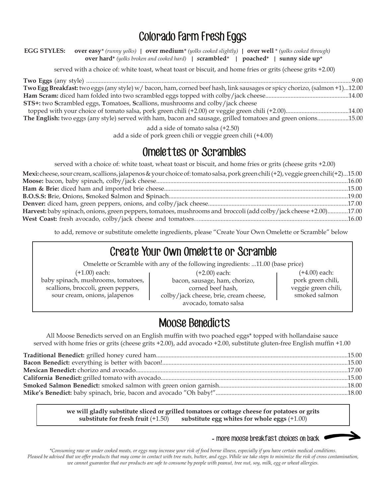# Colorado Farm Fresh Eggs

**EGG STYLES: over easy***\* (runny yolks)* **| over medium***\* (yolks cooked slightly)* **| over well** \* *(yolks cooked through)* **over hard\*** *(yolks broken and cooked hard)* **|** *s***crambled***\** **| poached\*****| sunny side up\*** 

served with a choice of: white toast, wheat toast or biscuit, and home fries or grits (cheese grits +2.00)

| Two Egg Breakfast: two eggs (any style) w/bacon, ham, corned beef hash, link sausages or spicy chorizo, (salmon +1)12.00 |
|--------------------------------------------------------------------------------------------------------------------------|
|                                                                                                                          |
| <b>STS+:</b> two Scrambled eggs, Tomatoes, Scallions, mushrooms and colby/jack cheese                                    |
|                                                                                                                          |
| The English: two eggs (any style) served with ham, bacon and sausage, grilled tomatoes and green onions15.00             |

add a side of tomato salsa (+2.50)

add a side of pork green chili or veggie green chili (+4.00)

#### Omelettes or Scrambles

served with a choice of: white toast, wheat toast or biscuit, and home fries or grits (cheese grits +2.00)

| Mexi: cheese, sour cream, scallions, jalapenos & your choice of: tomato salsa, pork green chili (+2), veggie green chili (+2)15.00 |  |
|------------------------------------------------------------------------------------------------------------------------------------|--|
|                                                                                                                                    |  |
|                                                                                                                                    |  |
|                                                                                                                                    |  |
|                                                                                                                                    |  |
| Harvest: baby spinach, onions, green peppers, tomatoes, mushrooms and broccoli (add colby/jack cheese +2.00)17.00                  |  |
|                                                                                                                                    |  |

to add, remove or substitute omelette ingredients, please "Create Your Own Omelette or Scramble" below

#### Create Your Own Omelette or Scramble

Omelette or Scramble with any of the following ingredients: ...11.00 (base price)

(+1.00) each: baby spinach, mushrooms, tomatoes, scallions, broccoli, green peppers, sour cream, onions, jalapenos

(+2.00) each: bacon, sausage, ham, chorizo, corned beef hash, colby/jack cheese, brie, cream cheese, avocado, tomato salsa

(+4.00) each: pork green chili, veggie green chili, smoked salmon

# Moose Benedicts

All Moose Benedicts served on an English muffin with two poached eggs\* topped with hollandaise sauce served with home fries or grits (cheese grits +2.00), add avocado +2.00, substitute gluten-free English muffin +1.00

**we will gladly substitute sliced or grilled tomatoes or cottage cheese for potatoes or grits substitute for fresh fruit** (+1.50) **substitute egg whites for whole eggs** (+1.00)

**-** more moose breakfast choices on back

*\*Consuming raw or under cooked meats, or eggs may increase your risk of food borne illness, especially if you have certain medical conditions. Pleased be advised that we offer products that may come in contact with tree nuts, butter, and eggs. While we take steps to minimize the risk of cross contamination, we cannot guarantee that our products are safe to consume by people with peanut, tree nut, soy, milk, egg or wheat allergies.*